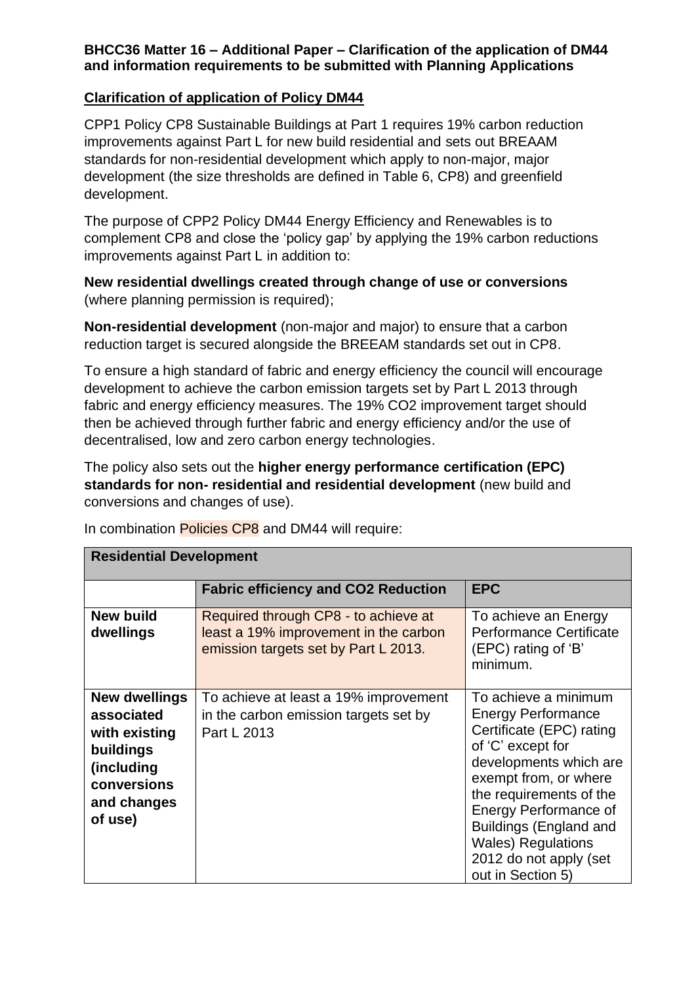## **BHCC36 Matter 16 – Additional Paper – Clarification of the application of DM44 and information requirements to be submitted with Planning Applications**

## **Clarification of application of Policy DM44**

CPP1 Policy CP8 Sustainable Buildings at Part 1 requires 19% carbon reduction improvements against Part L for new build residential and sets out BREAAM standards for non-residential development which apply to non-major, major development (the size thresholds are defined in Table 6, CP8) and greenfield development.

The purpose of CPP2 Policy DM44 Energy Efficiency and Renewables is to complement CP8 and close the 'policy gap' by applying the 19% carbon reductions improvements against Part L in addition to:

**New residential dwellings created through change of use or conversions**  (where planning permission is required);

**Non-residential development** (non-major and major) to ensure that a carbon reduction target is secured alongside the BREEAM standards set out in CP8.

To ensure a high standard of fabric and energy efficiency the council will encourage development to achieve the carbon emission targets set by Part L 2013 through fabric and energy efficiency measures. The 19% CO2 improvement target should then be achieved through further fabric and energy efficiency and/or the use of decentralised, low and zero carbon energy technologies.

The policy also sets out the **higher energy performance certification (EPC) standards for non- residential and residential development** (new build and conversions and changes of use).

|                                                                                                                  | <b>Fabric efficiency and CO2 Reduction</b>                                                                            | <b>EPC</b>                                                                                                                                                                                                                                                                                                      |
|------------------------------------------------------------------------------------------------------------------|-----------------------------------------------------------------------------------------------------------------------|-----------------------------------------------------------------------------------------------------------------------------------------------------------------------------------------------------------------------------------------------------------------------------------------------------------------|
| <b>New build</b><br>dwellings                                                                                    | Required through CP8 - to achieve at<br>least a 19% improvement in the carbon<br>emission targets set by Part L 2013. | To achieve an Energy<br><b>Performance Certificate</b><br>(EPC) rating of 'B'<br>minimum.                                                                                                                                                                                                                       |
| New dwellings<br>associated<br>with existing<br>buildings<br>(including<br>conversions<br>and changes<br>of use) | To achieve at least a 19% improvement<br>in the carbon emission targets set by<br>Part L 2013                         | To achieve a minimum<br><b>Energy Performance</b><br>Certificate (EPC) rating<br>of 'C' except for<br>developments which are<br>exempt from, or where<br>the requirements of the<br>Energy Performance of<br>Buildings (England and<br><b>Wales) Regulations</b><br>2012 do not apply (set<br>out in Section 5) |

In combination Policies CP8 and DM44 will require:

**Residential Development**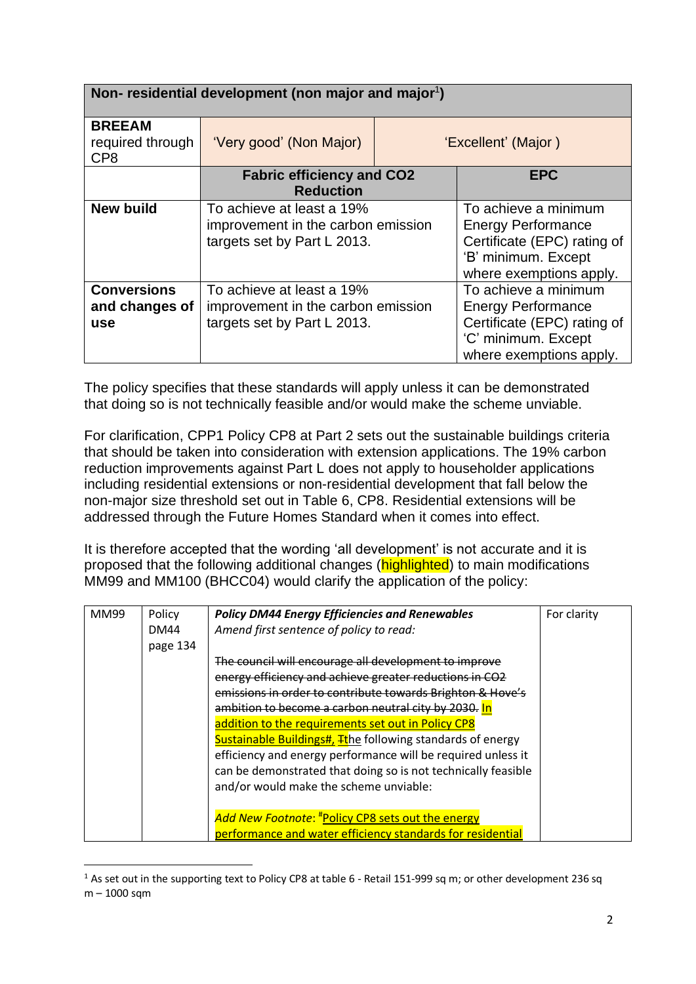| Non-residential development (non major and major <sup>1</sup> ) |                                                                                                |                     |                                                                                                                                    |
|-----------------------------------------------------------------|------------------------------------------------------------------------------------------------|---------------------|------------------------------------------------------------------------------------------------------------------------------------|
| <b>BREEAM</b><br>required through<br>CP <sub>8</sub>            | 'Very good' (Non Major)                                                                        | 'Excellent' (Major) |                                                                                                                                    |
|                                                                 | <b>Fabric efficiency and CO2</b><br><b>Reduction</b>                                           |                     | <b>EPC</b>                                                                                                                         |
| <b>New build</b>                                                | To achieve at least a 19%<br>improvement in the carbon emission<br>targets set by Part L 2013. |                     | To achieve a minimum<br><b>Energy Performance</b><br>Certificate (EPC) rating of<br>'B' minimum. Except<br>where exemptions apply. |
| <b>Conversions</b><br>and changes of<br><b>use</b>              | To achieve at least a 19%<br>improvement in the carbon emission<br>targets set by Part L 2013. |                     | To achieve a minimum<br><b>Energy Performance</b><br>Certificate (EPC) rating of<br>'C' minimum. Except<br>where exemptions apply. |

The policy specifies that these standards will apply unless it can be demonstrated that doing so is not technically feasible and/or would make the scheme unviable.

For clarification, CPP1 Policy CP8 at Part 2 sets out the sustainable buildings criteria that should be taken into consideration with extension applications. The 19% carbon reduction improvements against Part L does not apply to householder applications including residential extensions or non-residential development that fall below the non-major size threshold set out in Table 6, CP8. Residential extensions will be addressed through the Future Homes Standard when it comes into effect.

It is therefore accepted that the wording 'all development' is not accurate and it is proposed that the following additional changes (highlighted) to main modifications MM99 and MM100 (BHCC04) would clarify the application of the policy:

| <b>MM99</b> | Policy      | <b>Policy DM44 Energy Efficiencies and Renewables</b>             | For clarity |
|-------------|-------------|-------------------------------------------------------------------|-------------|
|             | <b>DM44</b> | Amend first sentence of policy to read:                           |             |
|             | page 134    |                                                                   |             |
|             |             | The council will encourage all development to improve             |             |
|             |             | energy efficiency and achieve greater reductions in CO2           |             |
|             |             | emissions in order to contribute towards Brighton & Hove's        |             |
|             |             | ambition to become a carbon neutral city by 2030. In              |             |
|             |             | addition to the requirements set out in Policy CP8                |             |
|             |             | <b>Sustainable Buildings#, Tthe following standards of energy</b> |             |
|             |             | efficiency and energy performance will be required unless it      |             |
|             |             | can be demonstrated that doing so is not technically feasible     |             |
|             |             | and/or would make the scheme unviable:                            |             |
|             |             |                                                                   |             |
|             |             | Add New Footnote: #Policy CP8 sets out the energy                 |             |
|             |             | performance and water efficiency standards for residential        |             |

<sup>&</sup>lt;sup>1</sup> As set out in the supporting text to Policy CP8 at table 6 - Retail 151-999 sq m; or other development 236 sq m – 1000 sqm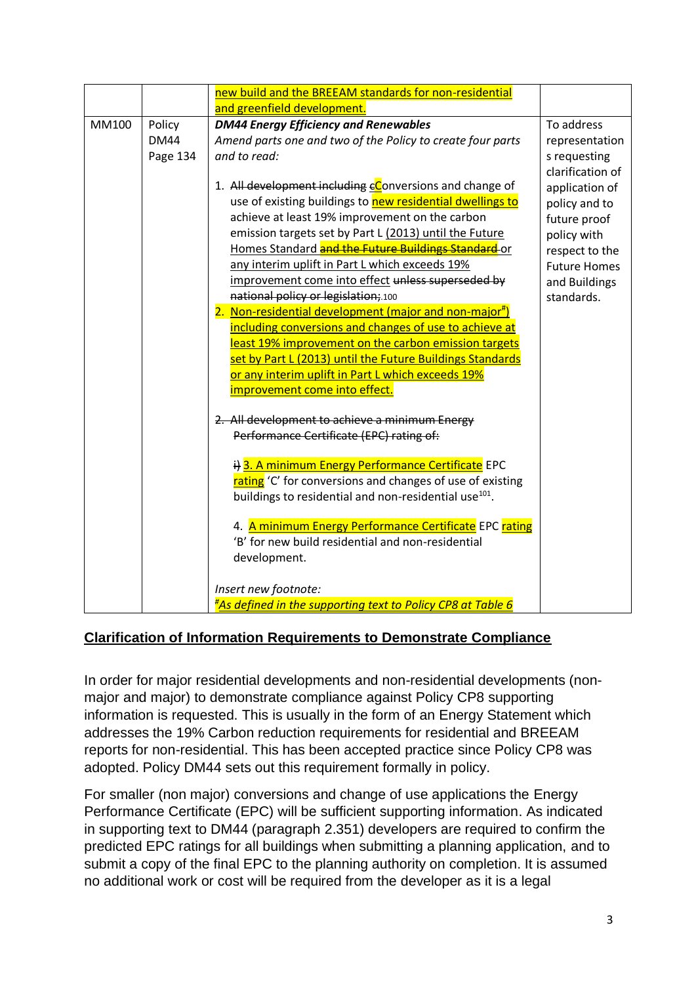|       |                                   | new build and the BREEAM standards for non-residential                                                                                                                                                                                                                                                                                                                                                                                                                                                                                                                                                                                                                                                                                                                                                                                                                                                                                                                                                                                                                                                                                                                                                                                                                                                                                |                                                                                                                                                                                                            |
|-------|-----------------------------------|---------------------------------------------------------------------------------------------------------------------------------------------------------------------------------------------------------------------------------------------------------------------------------------------------------------------------------------------------------------------------------------------------------------------------------------------------------------------------------------------------------------------------------------------------------------------------------------------------------------------------------------------------------------------------------------------------------------------------------------------------------------------------------------------------------------------------------------------------------------------------------------------------------------------------------------------------------------------------------------------------------------------------------------------------------------------------------------------------------------------------------------------------------------------------------------------------------------------------------------------------------------------------------------------------------------------------------------|------------------------------------------------------------------------------------------------------------------------------------------------------------------------------------------------------------|
| MM100 | Policy<br><b>DM44</b><br>Page 134 | and greenfield development.<br><b>DM44 Energy Efficiency and Renewables</b><br>Amend parts one and two of the Policy to create four parts<br>and to read:<br>1. All development including cConversions and change of<br>use of existing buildings to new residential dwellings to<br>achieve at least 19% improvement on the carbon<br>emission targets set by Part L (2013) until the Future<br>Homes Standard and the Future Buildings Standard or<br>any interim uplift in Part L which exceeds 19%<br>improvement come into effect unless superseded by<br>national policy or legislation; 100<br>2. Non-residential development (major and non-major#)<br>including conversions and changes of use to achieve at<br>least 19% improvement on the carbon emission targets<br>set by Part L (2013) until the Future Buildings Standards<br>or any interim uplift in Part L which exceeds 19%<br>improvement come into effect.<br>2. All development to achieve a minimum Energy<br>Performance Certificate (EPC) rating of:<br>i) 3. A minimum Energy Performance Certificate EPC<br>rating 'C' for conversions and changes of use of existing<br>buildings to residential and non-residential use <sup>101</sup> .<br>4. A minimum Energy Performance Certificate EPC rating<br>'B' for new build residential and non-residential | To address<br>representation<br>s requesting<br>clarification of<br>application of<br>policy and to<br>future proof<br>policy with<br>respect to the<br><b>Future Homes</b><br>and Buildings<br>standards. |
|       |                                   | development.<br>Insert new footnote:<br>"As defined in the supporting text to Policy CP8 at Table 6                                                                                                                                                                                                                                                                                                                                                                                                                                                                                                                                                                                                                                                                                                                                                                                                                                                                                                                                                                                                                                                                                                                                                                                                                                   |                                                                                                                                                                                                            |
|       |                                   |                                                                                                                                                                                                                                                                                                                                                                                                                                                                                                                                                                                                                                                                                                                                                                                                                                                                                                                                                                                                                                                                                                                                                                                                                                                                                                                                       |                                                                                                                                                                                                            |

## **Clarification of Information Requirements to Demonstrate Compliance**

In order for major residential developments and non-residential developments (nonmajor and major) to demonstrate compliance against Policy CP8 supporting information is requested. This is usually in the form of an Energy Statement which addresses the 19% Carbon reduction requirements for residential and BREEAM reports for non-residential. This has been accepted practice since Policy CP8 was adopted. Policy DM44 sets out this requirement formally in policy.

For smaller (non major) conversions and change of use applications the Energy Performance Certificate (EPC) will be sufficient supporting information. As indicated in supporting text to DM44 (paragraph 2.351) developers are required to confirm the predicted EPC ratings for all buildings when submitting a planning application, and to submit a copy of the final EPC to the planning authority on completion. It is assumed no additional work or cost will be required from the developer as it is a legal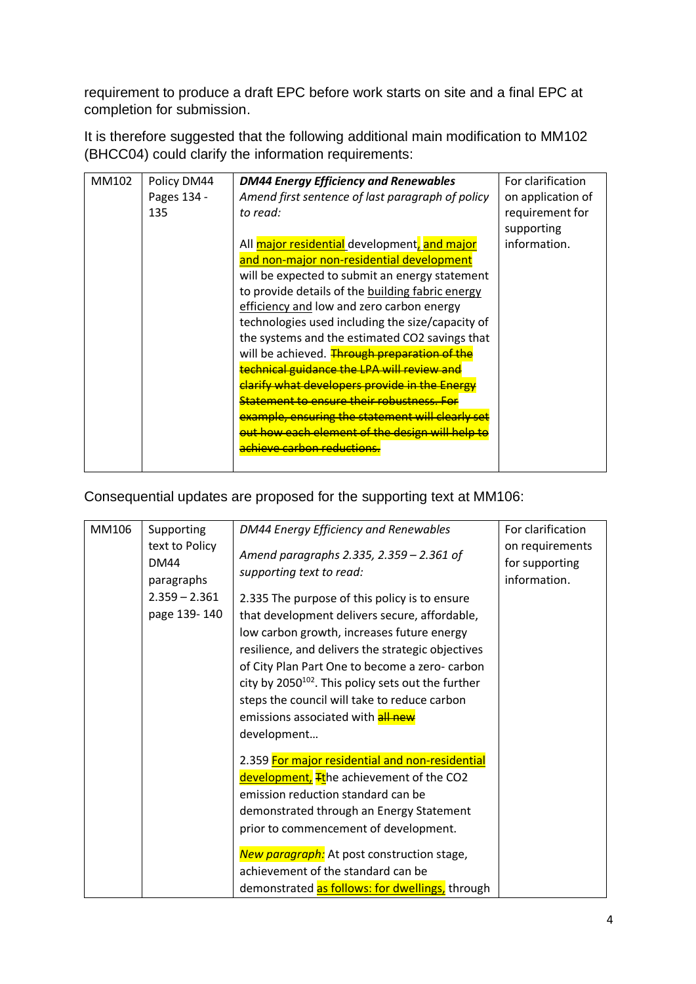requirement to produce a draft EPC before work starts on site and a final EPC at completion for submission.

It is therefore suggested that the following additional main modification to MM102 (BHCC04) could clarify the information requirements:

| MM102 | Policy DM44 | <b>DM44 Energy Efficiency and Renewables</b>     | For clarification |
|-------|-------------|--------------------------------------------------|-------------------|
|       | Pages 134 - | Amend first sentence of last paragraph of policy | on application of |
|       | 135         | to read:                                         | requirement for   |
|       |             |                                                  | supporting        |
|       |             | All major residential development, and major     | information.      |
|       |             | and non-major non-residential development        |                   |
|       |             | will be expected to submit an energy statement   |                   |
|       |             | to provide details of the building fabric energy |                   |
|       |             | efficiency and low and zero carbon energy        |                   |
|       |             | technologies used including the size/capacity of |                   |
|       |             | the systems and the estimated CO2 savings that   |                   |
|       |             | will be achieved. Through preparation of the     |                   |
|       |             | technical guidance the LPA will review and       |                   |
|       |             | clarify what developers provide in the Energy    |                   |
|       |             | <b>Statement to ensure their robustness. For</b> |                   |
|       |             | example, ensuring the statement will clearly set |                   |
|       |             | out how each element of the design will help to  |                   |
|       |             | <u>achieve carbon reductions.</u>                |                   |
|       |             |                                                  |                   |

Consequential updates are proposed for the supporting text at MM106:

| MM106 | Supporting                                  | DM44 Energy Efficiency and Renewables                                                                   | For clarification                                 |
|-------|---------------------------------------------|---------------------------------------------------------------------------------------------------------|---------------------------------------------------|
|       | text to Policy<br><b>DM44</b><br>paragraphs | Amend paragraphs 2.335, 2.359 - 2.361 of<br>supporting text to read:                                    | on requirements<br>for supporting<br>information. |
|       | $2.359 - 2.361$                             | 2.335 The purpose of this policy is to ensure                                                           |                                                   |
|       | page 139-140                                | that development delivers secure, affordable,                                                           |                                                   |
|       |                                             | low carbon growth, increases future energy                                                              |                                                   |
|       |                                             | resilience, and delivers the strategic objectives                                                       |                                                   |
|       |                                             | of City Plan Part One to become a zero-carbon                                                           |                                                   |
|       |                                             | city by $2050^{102}$ . This policy sets out the further<br>steps the council will take to reduce carbon |                                                   |
|       |                                             | emissions associated with <b>all new</b>                                                                |                                                   |
|       |                                             | development                                                                                             |                                                   |
|       |                                             | 2.359 For major residential and non-residential                                                         |                                                   |
|       |                                             | development, Tthe achievement of the CO2                                                                |                                                   |
|       |                                             | emission reduction standard can be                                                                      |                                                   |
|       |                                             | demonstrated through an Energy Statement                                                                |                                                   |
|       |                                             | prior to commencement of development.                                                                   |                                                   |
|       |                                             | New paragraph: At post construction stage,                                                              |                                                   |
|       |                                             | achievement of the standard can be                                                                      |                                                   |
|       |                                             | demonstrated as follows: for dwellings, through                                                         |                                                   |